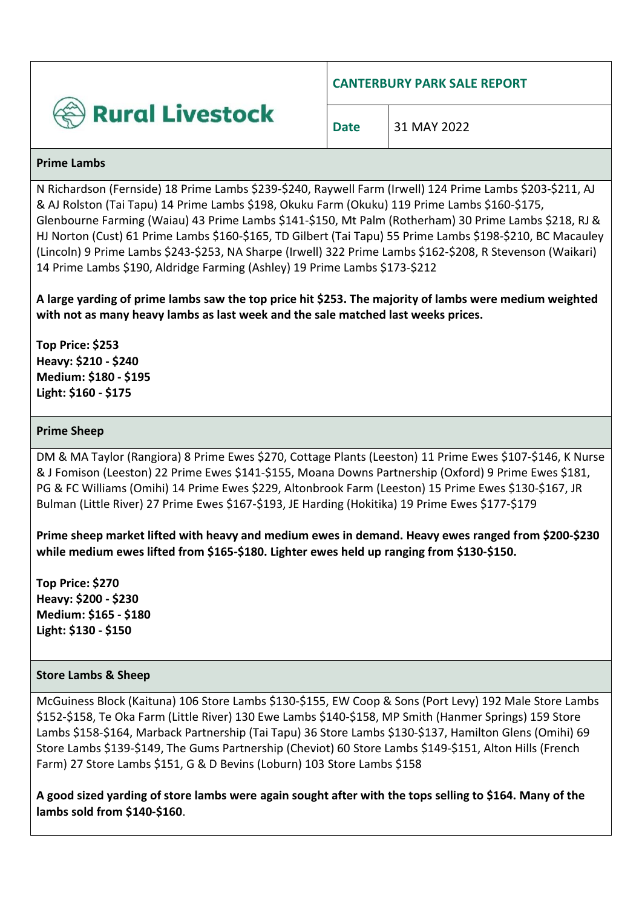

**CANTERBURY PARK SALE REPORT**

**Date** 31 MAY 2022

#### **Prime Lambs**

N Richardson (Fernside) 18 Prime Lambs \$239-\$240, Raywell Farm (Irwell) 124 Prime Lambs \$203-\$211, AJ & AJ Rolston (Tai Tapu) 14 Prime Lambs \$198, Okuku Farm (Okuku) 119 Prime Lambs \$160-\$175, Glenbourne Farming (Waiau) 43 Prime Lambs \$141-\$150, Mt Palm (Rotherham) 30 Prime Lambs \$218, RJ & HJ Norton (Cust) 61 Prime Lambs \$160-\$165, TD Gilbert (Tai Tapu) 55 Prime Lambs \$198-\$210, BC Macauley (Lincoln) 9 Prime Lambs \$243-\$253, NA Sharpe (Irwell) 322 Prime Lambs \$162-\$208, R Stevenson (Waikari) 14 Prime Lambs \$190, Aldridge Farming (Ashley) 19 Prime Lambs \$173-\$212

**A large yarding of prime lambs saw the top price hit \$253. The majority of lambs were medium weighted with not as many heavy lambs as last week and the sale matched last weeks prices.**

**Top Price: \$253 Heavy: \$210 - \$240 Medium: \$180 - \$195 Light: \$160 - \$175**

## **Prime Sheep**

DM & MA Taylor (Rangiora) 8 Prime Ewes \$270, Cottage Plants (Leeston) 11 Prime Ewes \$107-\$146, K Nurse & J Fomison (Leeston) 22 Prime Ewes \$141-\$155, Moana Downs Partnership (Oxford) 9 Prime Ewes \$181, PG & FC Williams (Omihi) 14 Prime Ewes \$229, Altonbrook Farm (Leeston) 15 Prime Ewes \$130-\$167, JR Bulman (Little River) 27 Prime Ewes \$167-\$193, JE Harding (Hokitika) 19 Prime Ewes \$177-\$179

**Prime sheep market lifted with heavy and medium ewes in demand. Heavy ewes ranged from \$200-\$230 while medium ewes lifted from \$165-\$180. Lighter ewes held up ranging from \$130-\$150.**

**Top Price: \$270 Heavy: \$200 - \$230 Medium: \$165 - \$180 Light: \$130 - \$150**

#### **Store Lambs & Sheep**

McGuiness Block (Kaituna) 106 Store Lambs \$130-\$155, EW Coop & Sons (Port Levy) 192 Male Store Lambs \$152-\$158, Te Oka Farm (Little River) 130 Ewe Lambs \$140-\$158, MP Smith (Hanmer Springs) 159 Store Lambs \$158-\$164, Marback Partnership (Tai Tapu) 36 Store Lambs \$130-\$137, Hamilton Glens (Omihi) 69 Store Lambs \$139-\$149, The Gums Partnership (Cheviot) 60 Store Lambs \$149-\$151, Alton Hills (French Farm) 27 Store Lambs \$151, G & D Bevins (Loburn) 103 Store Lambs \$158

**A good sized yarding of store lambs were again sought after with the tops selling to \$164. Many of the lambs sold from \$140-\$160**.